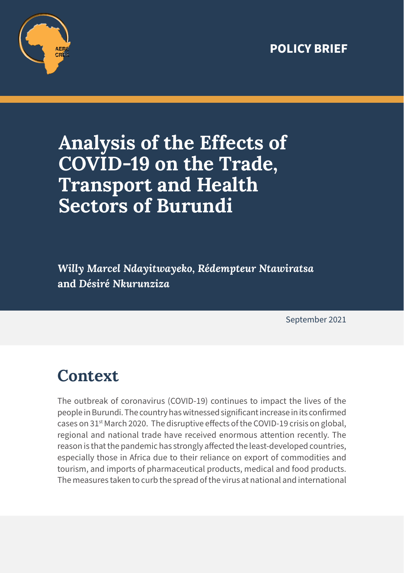#### **POLICY BRIEF**



# **Analysis of the Effects of COVID-19 on the Trade, Transport and Health Sectors of Burundi**

*Willy Marcel Ndayitwayeko, Rédempteur Ntawiratsa*  **and** *Désiré Nkurunziza*

September 2021

### **Context**

The outbreak of coronavirus (COVID-19) continues to impact the lives of the people in Burundi. The country has witnessed significant increase in its confirmed cases on 31<sup>st</sup> March 2020. The disruptive effects of the COVID-19 crisis on global, regional and national trade have received enormous attention recently. The reason is that the pandemic has strongly affected the least-developed countries, especially those in Africa due to their reliance on export of commodities and tourism, and imports of pharmaceutical products, medical and food products. The measures taken to curb the spread of the virus at national and international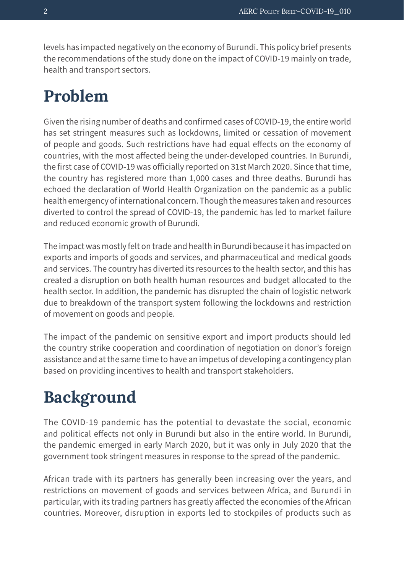levels has impacted negatively on the economy of Burundi. This policy brief presents the recommendations of the study done on the impact of COVID-19 mainly on trade, health and transport sectors.

#### **Problem**

Given the rising number of deaths and confirmed cases of COVID-19, the entire world has set stringent measures such as lockdowns, limited or cessation of movement of people and goods. Such restrictions have had equal effects on the economy of countries, with the most affected being the under-developed countries. In Burundi, the first case of COVID-19 was officially reported on 31st March 2020. Since that time, the country has registered more than 1,000 cases and three deaths. Burundi has echoed the declaration of World Health Organization on the pandemic as a public health emergency of international concern. Though the measures taken and resources diverted to control the spread of COVID-19, the pandemic has led to market failure and reduced economic growth of Burundi.

The impact was mostly felt on trade and health in Burundi because it has impacted on exports and imports of goods and services, and pharmaceutical and medical goods and services. The country has diverted its resources to the health sector, and this has created a disruption on both health human resources and budget allocated to the health sector. In addition, the pandemic has disrupted the chain of logistic network due to breakdown of the transport system following the lockdowns and restriction of movement on goods and people.

The impact of the pandemic on sensitive export and import products should led the country strike cooperation and coordination of negotiation on donor's foreign assistance and at the same time to have an impetus of developing a contingency plan based on providing incentives to health and transport stakeholders.

### **Background**

The COVID-19 pandemic has the potential to devastate the social, economic and political effects not only in Burundi but also in the entire world. In Burundi, the pandemic emerged in early March 2020, but it was only in July 2020 that the government took stringent measures in response to the spread of the pandemic.

African trade with its partners has generally been increasing over the years, and restrictions on movement of goods and services between Africa, and Burundi in particular, with its trading partners has greatly affected the economies of the African countries. Moreover, disruption in exports led to stockpiles of products such as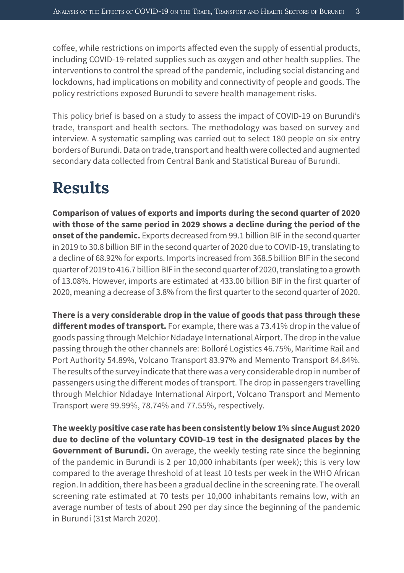coffee, while restrictions on imports affected even the supply of essential products, including COVID-19-related supplies such as oxygen and other health supplies. The interventions to control the spread of the pandemic, including social distancing and lockdowns, had implications on mobility and connectivity of people and goods. The policy restrictions exposed Burundi to severe health management risks.

This policy brief is based on a study to assess the impact of COVID-19 on Burundi's trade, transport and health sectors. The methodology was based on survey and interview. A systematic sampling was carried out to select 180 people on six entry borders of Burundi. Data on trade, transport and health were collected and augmented secondary data collected from Central Bank and Statistical Bureau of Burundi.

### **Results**

**Comparison of values of exports and imports during the second quarter of 2020 with those of the same period in 2029 shows a decline during the period of the onset of the pandemic.** Exports decreased from 99.1 billion BIF in the second quarter in 2019 to 30.8 billion BIF in the second quarter of 2020 due to COVID-19, translating to a decline of 68.92% for exports. Imports increased from 368.5 billion BIF in the second quarter of 2019 to 416.7 billion BIF in the second quarter of 2020, translating to a growth of 13.08%. However, imports are estimated at 433.00 billion BIF in the first quarter of 2020, meaning a decrease of 3.8% from the first quarter to the second quarter of 2020.

**There is a very considerable drop in the value of goods that pass through these different modes of transport.** For example, there was a 73.41% drop in the value of goods passing through Melchior Ndadaye International Airport. The drop in the value passing through the other channels are: Bolloré Logistics 46.75%, Maritime Rail and Port Authority 54.89%, Volcano Transport 83.97% and Memento Transport 84.84%. The results of the survey indicate that there was a very considerable drop in number of passengers using the different modes of transport. The drop in passengers travelling through Melchior Ndadaye International Airport, Volcano Transport and Memento Transport were 99.99%, 78.74% and 77.55%, respectively.

**The weekly positive case rate has been consistently below 1% since August 2020 due to decline of the voluntary COVID-19 test in the designated places by the Government of Burundi.** On average, the weekly testing rate since the beginning of the pandemic in Burundi is 2 per 10,000 inhabitants (per week); this is very low compared to the average threshold of at least 10 tests per week in the WHO African region. In addition, there has been a gradual decline in the screening rate. The overall screening rate estimated at 70 tests per 10,000 inhabitants remains low, with an average number of tests of about 290 per day since the beginning of the pandemic in Burundi (31st March 2020).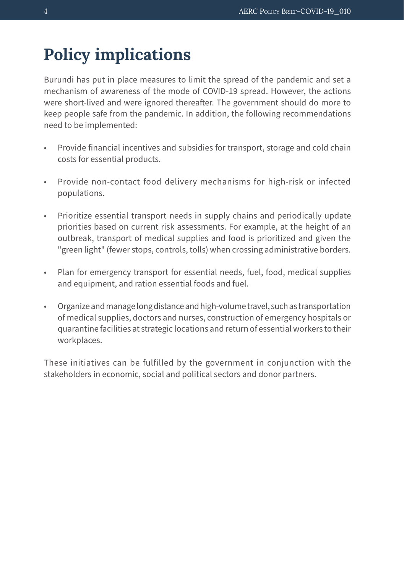## **Policy implications**

Burundi has put in place measures to limit the spread of the pandemic and set a mechanism of awareness of the mode of COVID-19 spread. However, the actions were short-lived and were ignored thereafter. The government should do more to keep people safe from the pandemic. In addition, the following recommendations need to be implemented:

- Provide financial incentives and subsidies for transport, storage and cold chain costs for essential products.
- Provide non-contact food delivery mechanisms for high-risk or infected populations.
- Prioritize essential transport needs in supply chains and periodically update priorities based on current risk assessments. For example, at the height of an outbreak, transport of medical supplies and food is prioritized and given the "green light" (fewer stops, controls, tolls) when crossing administrative borders.
- Plan for emergency transport for essential needs, fuel, food, medical supplies and equipment, and ration essential foods and fuel.
- Organize and manage long distance and high-volume travel, such as transportation of medical supplies, doctors and nurses, construction of emergency hospitals or quarantine facilities at strategic locations and return of essential workers to their workplaces.

These initiatives can be fulfilled by the government in conjunction with the stakeholders in economic, social and political sectors and donor partners.